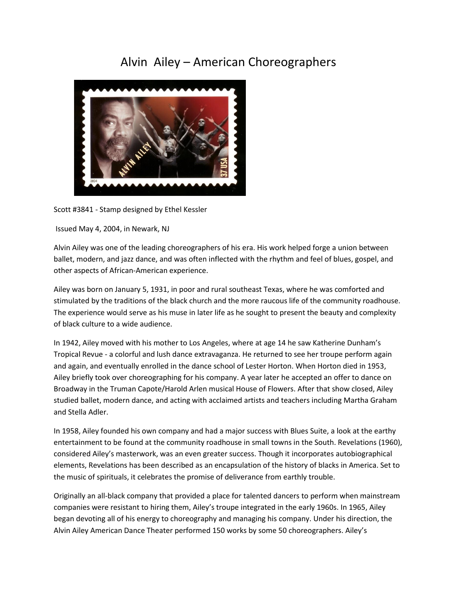## Alvin Ailey – American Choreographers



Scott #3841 - Stamp designed by Ethel Kessler

Issued May 4, 2004, in Newark, NJ

Alvin Ailey was one of the leading choreographers of his era. His work helped forge a union between ballet, modern, and jazz dance, and was often inflected with the rhythm and feel of blues, gospel, and other aspects of African-American experience.

Ailey was born on January 5, 1931, in poor and rural southeast Texas, where he was comforted and stimulated by the traditions of the black church and the more raucous life of the community roadhouse. The experience would serve as his muse in later life as he sought to present the beauty and complexity of black culture to a wide audience.

In 1942, Ailey moved with his mother to Los Angeles, where at age 14 he saw Katherine Dunham's Tropical Revue - a colorful and lush dance extravaganza. He returned to see her troupe perform again and again, and eventually enrolled in the dance school of Lester Horton. When Horton died in 1953, Ailey briefly took over choreographing for his company. A year later he accepted an offer to dance on Broadway in the Truman Capote/Harold Arlen musical House of Flowers. After that show closed, Ailey studied ballet, modern dance, and acting with acclaimed artists and teachers including Martha Graham and Stella Adler.

In 1958, Ailey founded his own company and had a major success with Blues Suite, a look at the earthy entertainment to be found at the community roadhouse in small towns in the South. Revelations (1960), considered Ailey's masterwork, was an even greater success. Though it incorporates autobiographical elements, Revelations has been described as an encapsulation of the history of blacks in America. Set to the music of spirituals, it celebrates the promise of deliverance from earthly trouble.

Originally an all-black company that provided a place for talented dancers to perform when mainstream companies were resistant to hiring them, Ailey's troupe integrated in the early 1960s. In 1965, Ailey began devoting all of his energy to choreography and managing his company. Under his direction, the Alvin Ailey American Dance Theater performed 150 works by some 50 choreographers. Ailey's